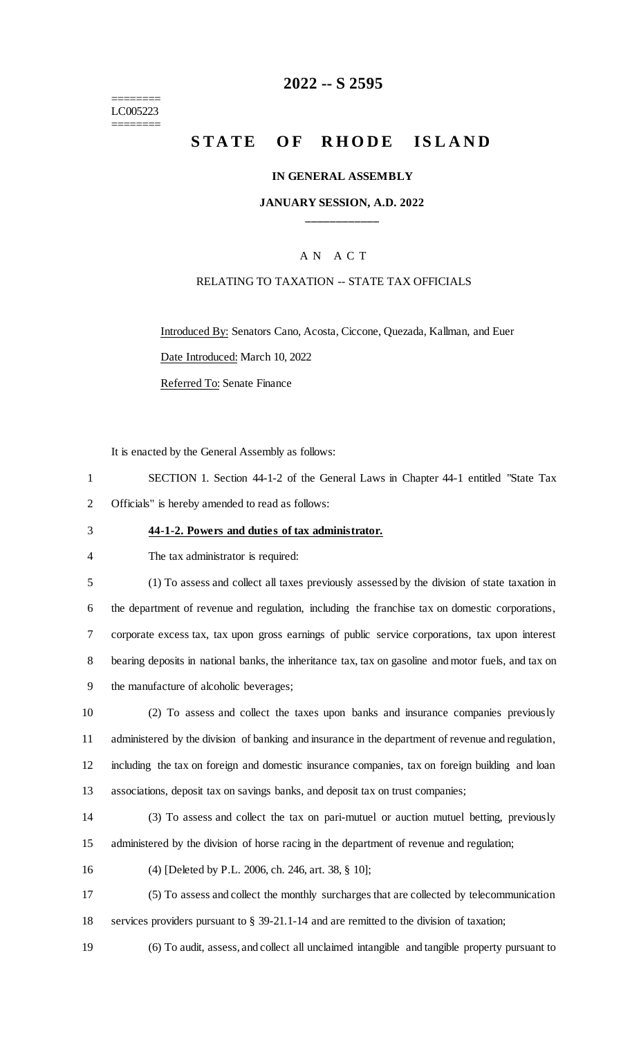======== LC005223 ========

## **-- S 2595**

# **STATE OF RHODE ISLAND**

#### **IN GENERAL ASSEMBLY**

#### **JANUARY SESSION, A.D. 2022 \_\_\_\_\_\_\_\_\_\_\_\_**

### A N A C T

#### RELATING TO TAXATION -- STATE TAX OFFICIALS

Introduced By: Senators Cano, Acosta, Ciccone, Quezada, Kallman, and Euer

Date Introduced: March 10, 2022

Referred To: Senate Finance

It is enacted by the General Assembly as follows:

 SECTION 1. Section 44-1-2 of the General Laws in Chapter 44-1 entitled "State Tax Officials" is hereby amended to read as follows:

#### **44-1-2. Powers and duties of tax administrator.**

The tax administrator is required:

 (1) To assess and collect all taxes previously assessed by the division of state taxation in the department of revenue and regulation, including the franchise tax on domestic corporations, corporate excess tax, tax upon gross earnings of public service corporations, tax upon interest bearing deposits in national banks, the inheritance tax, tax on gasoline and motor fuels, and tax on the manufacture of alcoholic beverages;

 (2) To assess and collect the taxes upon banks and insurance companies previously administered by the division of banking and insurance in the department of revenue and regulation, including the tax on foreign and domestic insurance companies, tax on foreign building and loan associations, deposit tax on savings banks, and deposit tax on trust companies;

 (3) To assess and collect the tax on pari-mutuel or auction mutuel betting, previously administered by the division of horse racing in the department of revenue and regulation;

(4) [Deleted by P.L. 2006, ch. 246, art. 38, § 10];

 (5) To assess and collect the monthly surcharges that are collected by telecommunication services providers pursuant to § 39-21.1-14 and are remitted to the division of taxation;

(6) To audit, assess, and collect all unclaimed intangible and tangible property pursuant to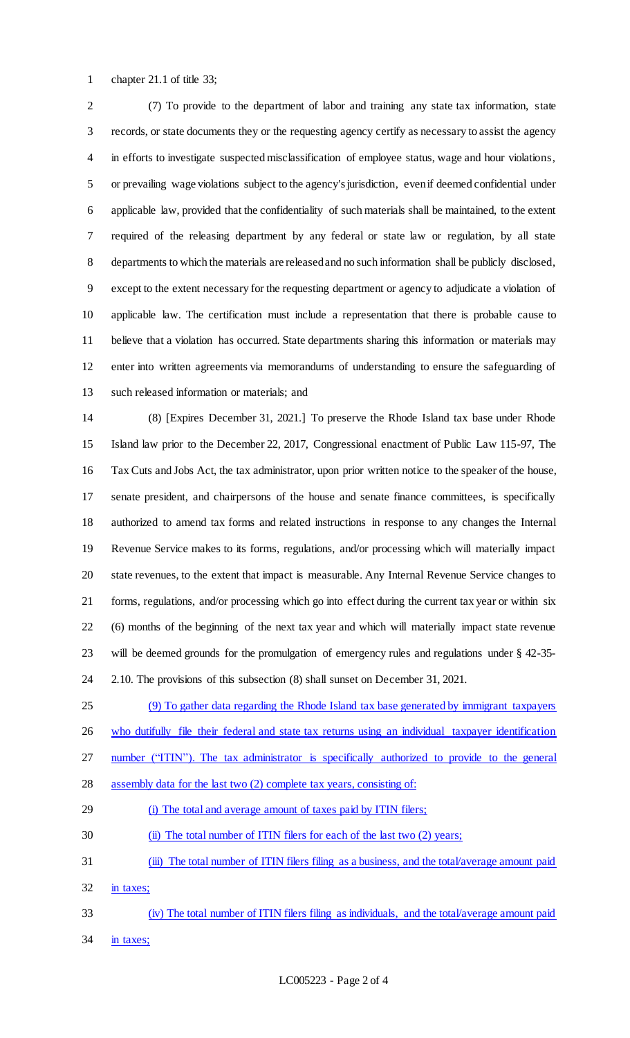chapter 21.1 of title 33;

 (7) To provide to the department of labor and training any state tax information, state records, or state documents they or the requesting agency certify as necessary to assist the agency in efforts to investigate suspected misclassification of employee status, wage and hour violations, or prevailing wage violations subject to the agency's jurisdiction, even if deemed confidential under applicable law, provided that the confidentiality of such materials shall be maintained, to the extent required of the releasing department by any federal or state law or regulation, by all state departments to which the materials are released and no such information shall be publicly disclosed, except to the extent necessary for the requesting department or agency to adjudicate a violation of applicable law. The certification must include a representation that there is probable cause to believe that a violation has occurred. State departments sharing this information or materials may enter into written agreements via memorandums of understanding to ensure the safeguarding of such released information or materials; and

 (8) [Expires December 31, 2021.] To preserve the Rhode Island tax base under Rhode Island law prior to the December 22, 2017, Congressional enactment of Public Law 115-97, The Tax Cuts and Jobs Act, the tax administrator, upon prior written notice to the speaker of the house, senate president, and chairpersons of the house and senate finance committees, is specifically authorized to amend tax forms and related instructions in response to any changes the Internal Revenue Service makes to its forms, regulations, and/or processing which will materially impact state revenues, to the extent that impact is measurable. Any Internal Revenue Service changes to forms, regulations, and/or processing which go into effect during the current tax year or within six (6) months of the beginning of the next tax year and which will materially impact state revenue will be deemed grounds for the promulgation of emergency rules and regulations under § 42-35- 2.10. The provisions of this subsection (8) shall sunset on December 31, 2021.

 (9) To gather data regarding the Rhode Island tax base generated by immigrant taxpayers 26 who dutifully file their federal and state tax returns using an individual taxpayer identification

27 number ("ITIN"). The tax administrator is specifically authorized to provide to the general

28 assembly data for the last two (2) complete tax years, consisting of:

(i) The total and average amount of taxes paid by ITIN filers;

30 (ii) The total number of ITIN filers for each of the last two (2) years;

 (iii) The total number of ITIN filers filing as a business, and the total/average amount paid 32 in taxes;

- (iv) The total number of ITIN filers filing as individuals, and the total/average amount paid
- in taxes;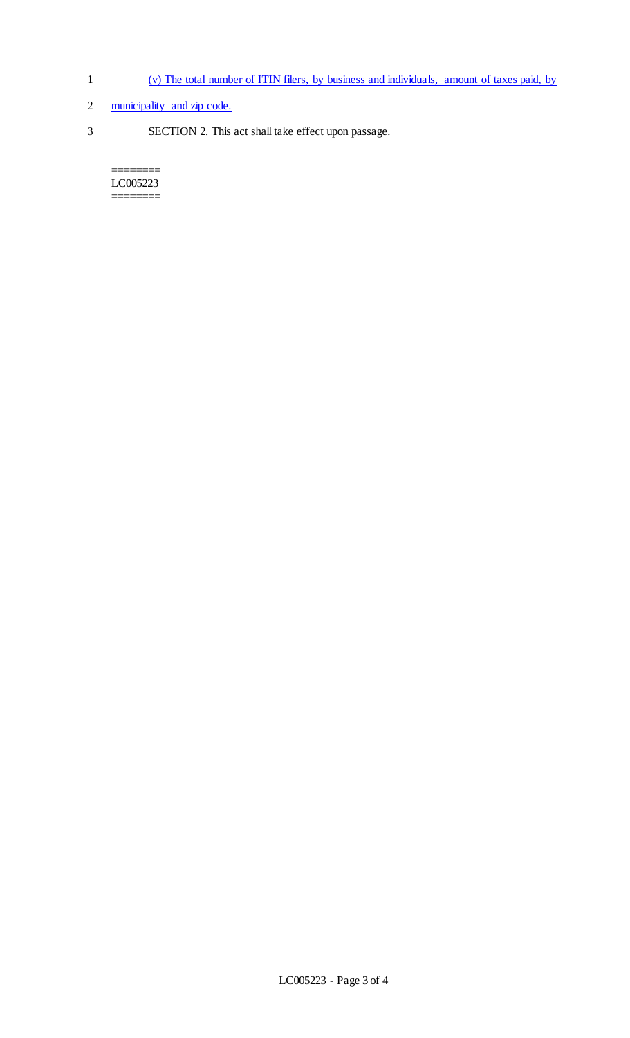- 1 (v) The total number of ITIN filers, by business and individuals, amount of taxes paid, by
- 2 municipality and zip code.
- 3 SECTION 2. This act shall take effect upon passage.

======== LC005223 ========